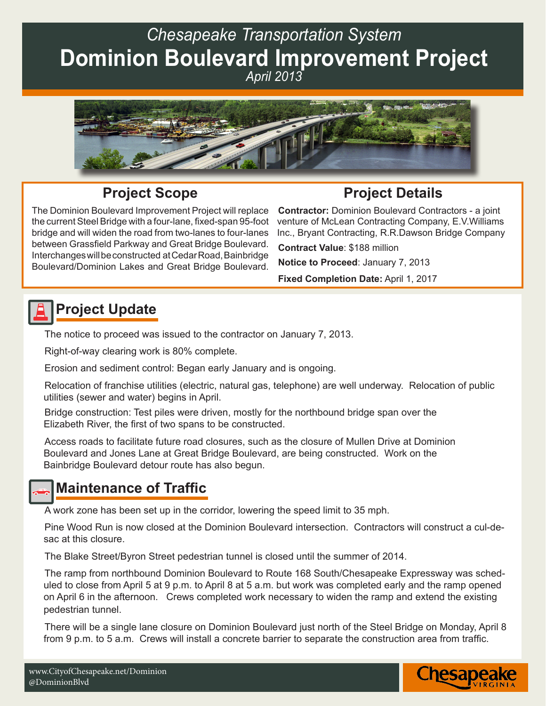# *Chesapeake Transportation System* **Dominion Boulevard Improvement Project**  *April 2013*



#### **Project Scope**

The Dominion Boulevard Improvement Project will replace the current Steel Bridge with a four-lane, fixed-span 95-foot bridge and will widen the road from two-lanes to four-lanes between Grassfield Parkway and Great Bridge Boulevard. Interchanges will be constructed at Cedar Road, Bainbridge Boulevard/Dominion Lakes and Great Bridge Boulevard.

**Project Details Contractor:** Dominion Boulevard Contractors - a joint venture of McLean Contracting Company, E.V.Williams Inc., Bryant Contracting, R.R.Dawson Bridge Company

**Contract Value**: \$188 million

**Notice to Proceed**: January 7, 2013

**Fixed Completion Date:** April 1, 2017

### **Project Update**

The notice to proceed was issued to the contractor on January 7, 2013.

Right-of-way clearing work is 80% complete.

Erosion and sediment control: Began early January and is ongoing.

Relocation of franchise utilities (electric, natural gas, telephone) are well underway. Relocation of public utilities (sewer and water) begins in April.

Bridge construction: Test piles were driven, mostly for the northbound bridge span over the Elizabeth River, the first of two spans to be constructed.

Access roads to facilitate future road closures, such as the closure of Mullen Drive at Dominion Boulevard and Jones Lane at Great Bridge Boulevard, are being constructed. Work on the Bainbridge Boulevard detour route has also begun.

#### **Maintenance of Traffic**

A work zone has been set up in the corridor, lowering the speed limit to 35 mph.

Pine Wood Run is now closed at the Dominion Boulevard intersection. Contractors will construct a cul-desac at this closure.

The Blake Street/Byron Street pedestrian tunnel is closed until the summer of 2014.

The ramp from northbound Dominion Boulevard to Route 168 South/Chesapeake Expressway was scheduled to close from April 5 at 9 p.m. to April 8 at 5 a.m. but work was completed early and the ramp opened on April 6 in the afternoon. Crews completed work necessary to widen the ramp and extend the existing pedestrian tunnel.

There will be a single lane closure on Dominion Boulevard just north of the Steel Bridge on Monday, April 8 from 9 p.m. to 5 a.m. Crews will install a concrete barrier to separate the construction area from traffic.